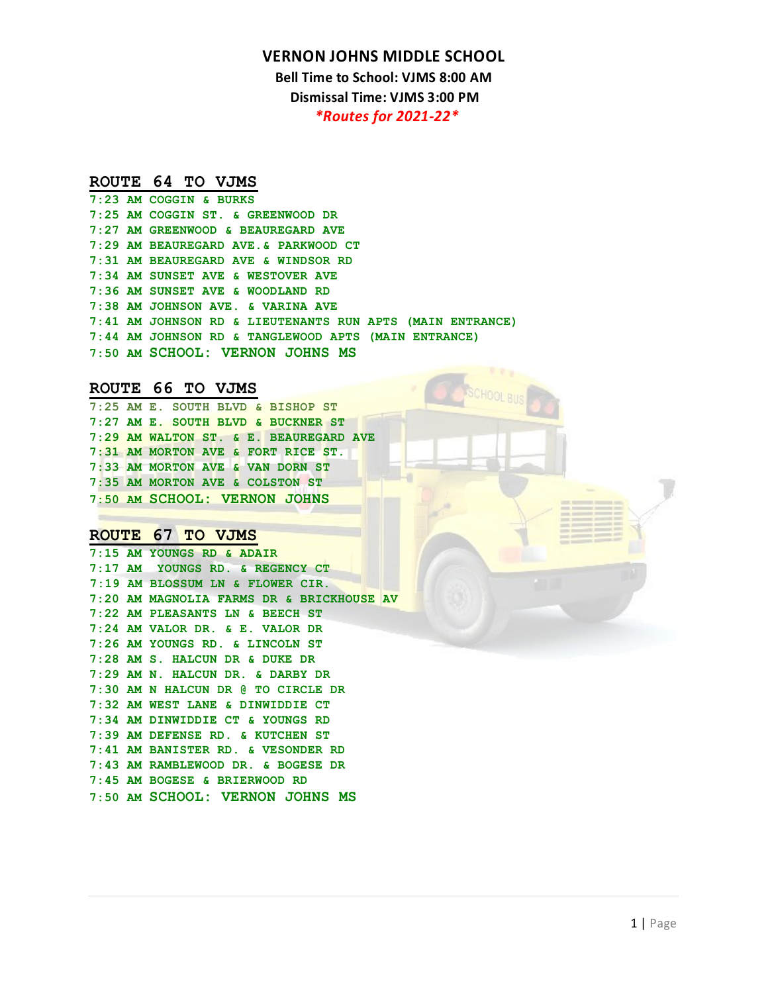**Bell Time to School: VJMS 8:00 AM Dismissal Time: VJMS 3:00 PM**

*\*Routes for 2021-22\** 

### **ROUTE 64 TO VJMS**

|  | $7:23$ AM COGGIN & BURKS                                  |
|--|-----------------------------------------------------------|
|  | 7:25 AM COGGIN ST. & GREENWOOD DR                         |
|  | 7:27 AM GREENWOOD & BEAUREGARD AVE                        |
|  | 7:29 AM BEAUREGARD AVE. & PARKWOOD CT                     |
|  | 7:31 AM BEAUREGARD AVE & WINDSOR RD                       |
|  | 7:34 AM SUNSET AVE & WESTOVER AVE                         |
|  | 7:36 AM SUNSET AVE & WOODLAND RD                          |
|  | 7:38 AM JOHNSON AVE. & VARINA AVE                         |
|  | 7:41 AM JOHNSON RD & LIEUTENANTS RUN APTS (MAIN ENTRANCE) |
|  | 7:44 AM JOHNSON RD & TANGLEWOOD APTS (MAIN ENTRANCE)      |
|  | 7:50 AM SCHOOL: VERNON JOHNS MS                           |
|  |                                                           |

**ROUTE 66 TO VJMS 7:25 AM E. SOUTH BLVD & BISHOP ST 7:27 AM E. SOUTH BLVD & BUCKNER ST 7:29 AM WALTON ST. & E. BEAUREGARD AVE 7:31 AM MORTON AVE & FORT RICE ST. 7:33 AM MORTON AVE & VAN DORN ST 7:35 AM MORTON AVE & COLSTON ST 7:50 AM SCHOOL: VERNON JOHNS** 

# **ROUTE 67 TO VJMS 7:15 AM YOUNGS RD & ADAIR**

**7:17 AM YOUNGS RD. & REGENCY CT 7:19 AM BLOSSUM LN & FLOWER CIR. 7:20 AM MAGNOLIA FARMS DR & BRICKHOUSE AV 7:22 AM PLEASANTS LN & BEECH ST 7:24 AM VALOR DR. & E. VALOR DR 7:26 AM YOUNGS RD. & LINCOLN ST 7:28 AM S. HALCUN DR & DUKE DR 7:29 AM N. HALCUN DR. & DARBY DR 7:30 AM N HALCUN DR @ TO CIRCLE DR 7:32 AM WEST LANE & DINWIDDIE CT 7:34 AM DINWIDDIE CT & YOUNGS RD 7:39 AM DEFENSE RD. & KUTCHEN ST 7:41 AM BANISTER RD. & VESONDER RD 7:43 AM RAMBLEWOOD DR. & BOGESE DR 7:45 AM BOGESE & BRIERWOOD RD 7:50 AM SCHOOL: VERNON JOHNS MS**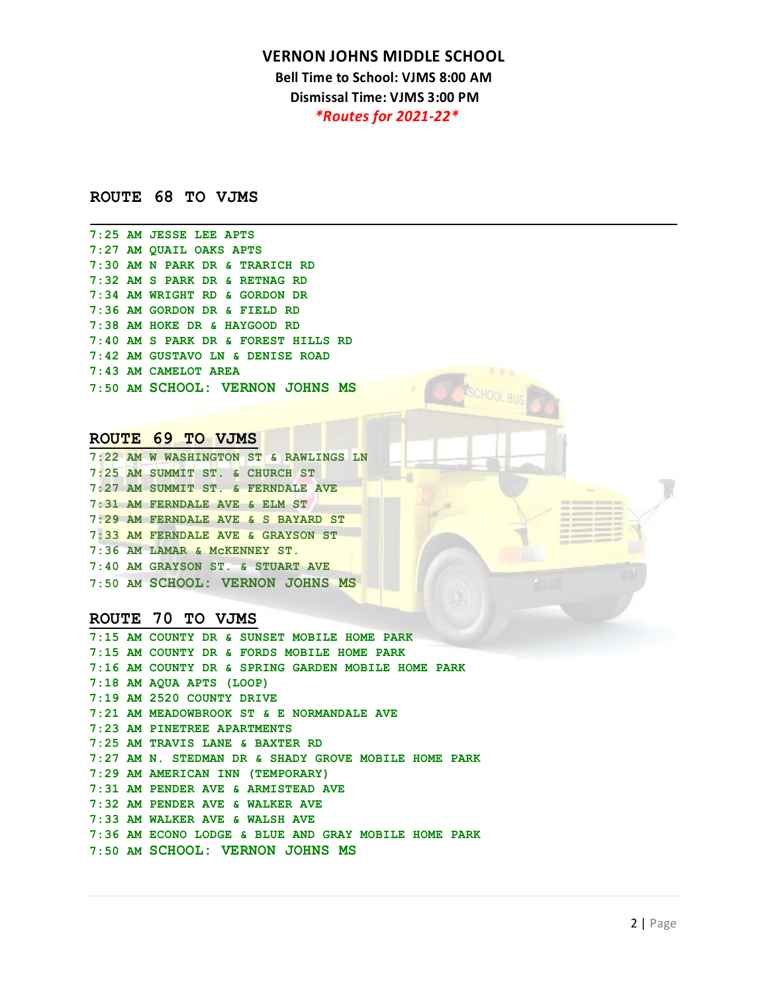**Bell Time to School: VJMS 8:00 AM Dismissal Time: VJMS 3:00 PM** *\*Routes for 2021-22\** 

## **ROUTE 68 TO VJMS**

**7:25 AM JESSE LEE APTS 7:27 AM QUAIL OAKS APTS 7:30 AM N PARK DR & TRARICH RD 7:32 AM S PARK DR & RETNAG RD 7:34 AM WRIGHT RD & GORDON DR 7:36 AM GORDON DR & FIELD RD 7:38 AM HOKE DR & HAYGOOD RD 7:40 AM S PARK DR & FOREST HILLS RD 7:42 AM GUSTAVO LN & DENISE ROAD 7:43 AM CAMELOT AREA 7:50 AM SCHOOL: VERNON JOHNS MS** 

## ROUTE 69 TO VJMS

|  | 7:22 AM W WASHINGTON ST & RAWLINGS LN |
|--|---------------------------------------|
|  | 7:25 AM SUMMIT ST. & CHURCH ST        |
|  | 7:27 AM SUMMIT ST. & FERNDALE AVE     |
|  | 7:31 AM FERNDALE AVE & ELM ST         |
|  | 7:29 AM FERNDALE AVE & S BAYARD ST    |
|  | 7:33 AM FERNDALE AVE & GRAYSON ST     |
|  | 7:36 AM LAMAR & MCKENNEY ST.          |
|  | 7:40 AM GRAYSON ST. & STUART AVE      |
|  | 7:50 AM SCHOOL: VERNON JOHNS MS       |

**ROUTE 70 TO VJMS 7:15 AM COUNTY DR & SUNSET MOBILE HOME PARK 7:15 AM COUNTY DR & FORDS MOBILE HOME PARK 7:16 AM COUNTY DR & SPRING GARDEN MOBILE HOME PARK 7:18 AM AQUA APTS (LOOP) 7:19 AM 2520 COUNTY DRIVE 7:21 AM MEADOWBROOK ST & E NORMANDALE AVE 7:23 AM PINETREE APARTMENTS 7:25 AM TRAVIS LANE & BAXTER RD 7:27 AM N. STEDMAN DR & SHADY GROVE MOBILE HOME PARK 7:29 AM AMERICAN INN (TEMPORARY) 7:31 AM PENDER AVE & ARMISTEAD AVE 7:32 AM PENDER AVE & WALKER AVE 7:33 AM WALKER AVE & WALSH AVE 7:36 AM ECONO LODGE & BLUE AND GRAY MOBILE HOME PARK 7:50 AM SCHOOL: VERNON JOHNS MS**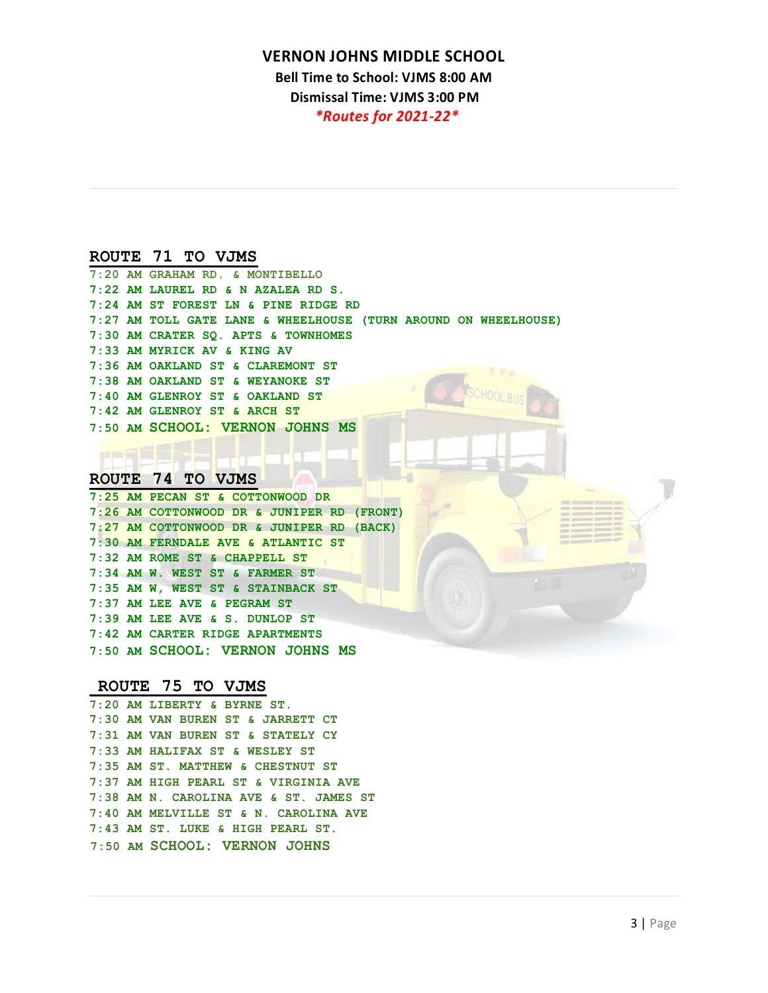**Bell Time to School: VJMS 8:00 AM Dismissal Time: VJMS 3:00 PM**

*\*Routes for 2021-22\** 

### ROUTE 71 TO VJMS

| 7:20 AM GRAHAM RD. & MONTIBELLO                                 |
|-----------------------------------------------------------------|
| 7:22 AM LAUREL RD & N AZALEA RD S.                              |
| 7:24 AM ST FOREST LN & PINE RIDGE RD                            |
| 7:27 AM TOLL GATE LANE & WHEELHOUSE (TURN AROUND ON WHEELHOUSE) |
| 7:30 AM CRATER SO. APTS & TOWNHOMES                             |
| 7:33 AM MYRICK AV & KING AV                                     |
| 7:36 AM OAKLAND ST & CLAREMONT ST                               |
| 7:38 AM OAKLAND ST & WEYANOKE ST                                |
| 7:40 AM GLENROY ST & OAKLAND ST                                 |
| 7:42 AM GLENROY ST & ARCH ST                                    |
| 7:50 AM SCHOOL: VERNON JOHNS MS                                 |
|                                                                 |

# **ROUTE 74 TO VJMS**

**7:25 AM PECAN ST & COTTONWOOD DR 7:26 AM COTTONWOOD DR & JUNIPER RD (FRONT) 7:27 AM COTTONWOOD DR & JUNIPER RD (BACK) 7:30 AM FERNDALE AVE & ATLANTIC ST 7:32 AM ROME ST & CHAPPELL ST 7:34 AM W. WEST ST & FARMER ST 7:35 AM W, WEST ST & STAINBACK ST 7:37 AM LEE AVE & PEGRAM ST 7:39 AM LEE AVE & S. DUNLOP ST 7:42 AM CARTER RIDGE APARTMENTS 7:50 AM SCHOOL: VERNON JOHNS MS** 

# **ROUTE 75 TO VJMS 7:20 AM LIBERTY & BYRNE ST.**

**7:30 AM VAN BUREN ST & JARRETT CT 7:31 AM VAN BUREN ST & STATELY CY 7:33 AM HALIFAX ST & WESLEY ST 7:35 AM ST. MATTHEW & CHESTNUT ST 7:37 AM HIGH PEARL ST & VIRGINIA AVE 7:38 AM N. CAROLINA AVE & ST. JAMES ST 7:40 AM MELVILLE ST & N. CAROLINA AVE 7:43 AM ST. LUKE & HIGH PEARL ST. 7:50 AM SCHOOL: VERNON JOHNS**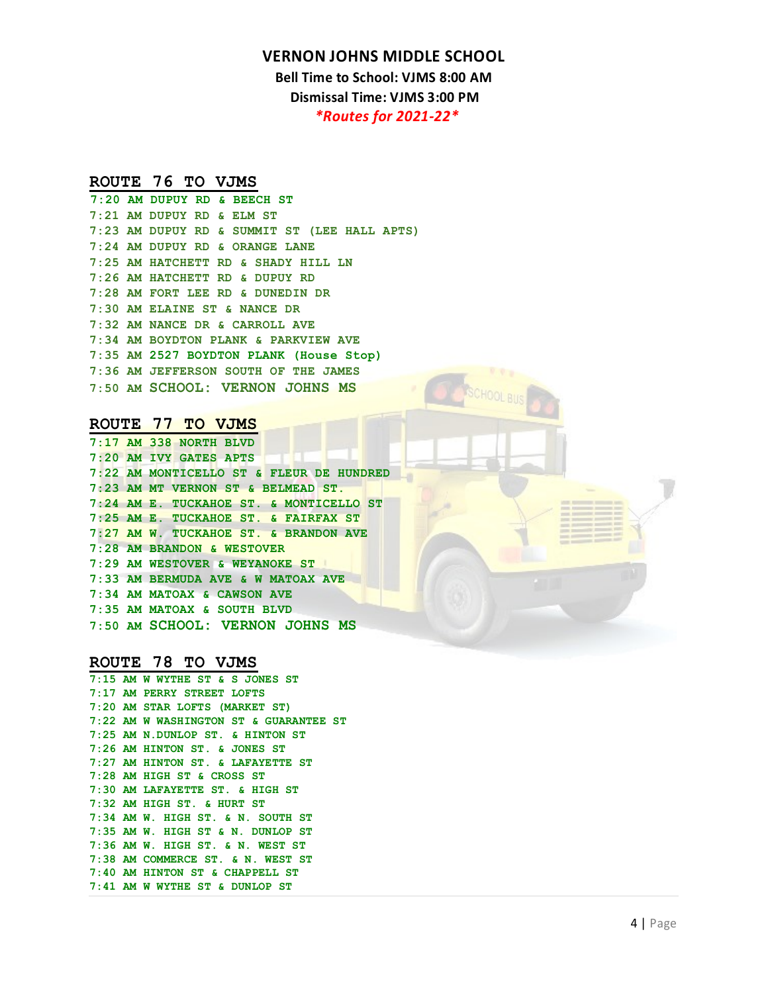**Bell Time to School: VJMS 8:00 AM Dismissal Time: VJMS 3:00 PM**

*\*Routes for 2021-22\** 

# **ROUTE 76 TO VJMS 7:20 AM DUPUY RD & BEECH ST**

**7:21 AM DUPUY RD & ELM ST 7:23 AM DUPUY RD & SUMMIT ST (LEE HALL APTS) 7:24 AM DUPUY RD & ORANGE LANE 7:25 AM HATCHETT RD & SHADY HILL LN 7:26 AM HATCHETT RD & DUPUY RD 7:28 AM FORT LEE RD & DUNEDIN DR 7:30 AM ELAINE ST & NANCE DR 7:32 AM NANCE DR & CARROLL AVE 7:34 AM BOYDTON PLANK & PARKVIEW AVE 7:35 AM 2527 BOYDTON PLANK (House Stop) 7:36 AM JEFFERSON SOUTH OF THE JAMES 7:50 AM SCHOOL: VERNON JOHNS MS** 

# **ROUTE 77 TO VJMS 7:17 AM 338 NORTH BLVD**

**7:20 AM IVY GATES APTS 7:22 AM MONTICELLO ST & FLEUR DE HUNDRED 7:23 AM MT VERNON ST & BELMEAD ST. 7:24 AM E. TUCKAHOE ST. & MONTICELLO ST 7:25 AM E. TUCKAHOE ST. & FAIRFAX ST 7:27 AM W. TUCKAHOE ST. & BRANDON AVE 7:28 AM BRANDON & WESTOVER 7:29 AM WESTOVER & WEYANOKE ST 7:33 AM BERMUDA AVE & W MATOAX AVE 7:34 AM MATOAX & CAWSON AVE 7:35 AM MATOAX & SOUTH BLVD 7:50 AM SCHOOL: VERNON JOHNS MS** 

### ROUTE 78 TO VJMS

|  | $7:15$ AM W WYTHE ST & S JONES ST      |
|--|----------------------------------------|
|  | 7:17 AM PERRY STREET LOFTS             |
|  | 7:20 AM STAR LOFTS (MARKET ST)         |
|  | 7:22 AM W WASHINGTON ST & GUARANTEE ST |
|  | 7:25 AM N.DUNLOP ST. & HINTON ST       |
|  | 7:26 AM HINTON ST. & JONES ST          |
|  | 7:27 AM HINTON ST. & LAFAYETTE ST      |
|  | $7:28$ AM HIGH ST & CROSS ST           |
|  | 7:30 AM LAFAYETTE ST. & HIGH ST        |
|  | $7:32$ AM HIGH ST. & HURT ST           |
|  | $7:34$ AM W. HIGH ST. & N. SOUTH ST    |
|  | 7:35 AM W. HIGH ST & N. DUNLOP ST      |
|  | $7:36$ AM W. HIGH ST. & N. WEST ST     |
|  | 7:38 AM COMMERCE ST. & N. WEST ST      |
|  | 7:40 AM HINTON ST & CHAPPELL ST        |
|  | $7:41$ AM W WYTHE ST & DUNLOP ST       |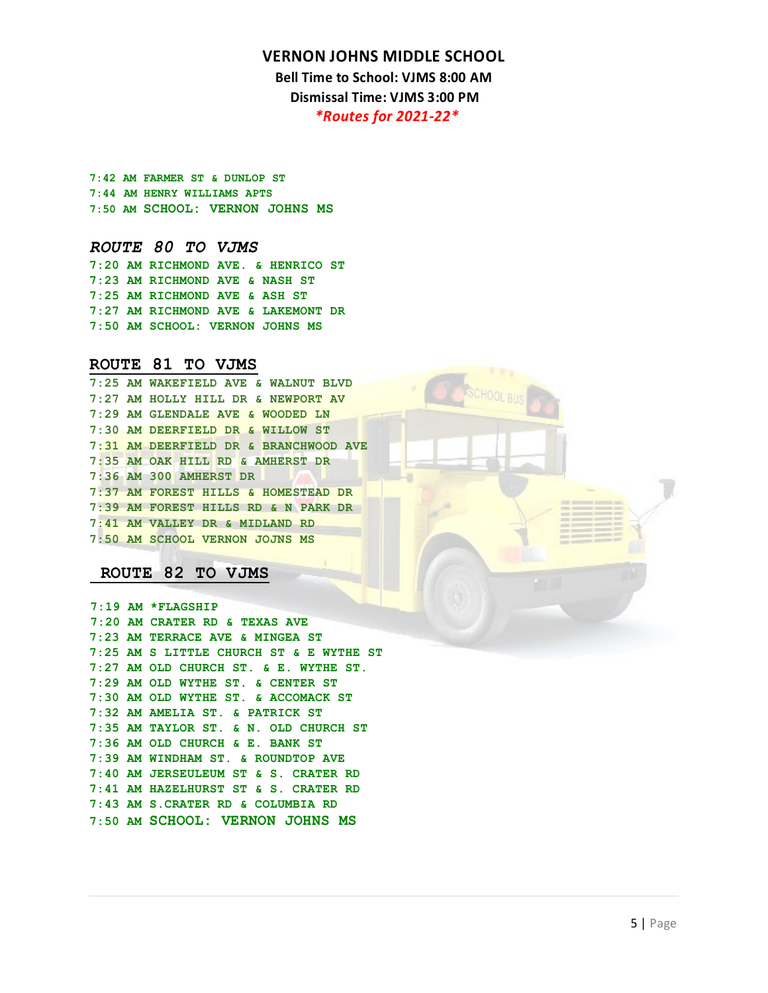**Bell Time to School: VJMS 8:00 AM Dismissal Time: VJMS 3:00 PM**

*\*Routes for 2021-22\** 

**7:42 AM FARMER ST & DUNLOP ST 7:44 AM HENRY WILLIAMS APTS 7:50 AM SCHOOL: VERNON JOHNS MS** 

### *ROUTE 80 TO VJMS*

**7:20 AM RICHMOND AVE. & HENRICO ST 7:23 AM RICHMOND AVE & NASH ST 7:25 AM RICHMOND AVE & ASH ST 7:27 AM RICHMOND AVE & LAKEMONT DR 7:50 AM SCHOOL: VERNON JOHNS MS** 

**ROUTE 81 TO VJMS 7:25 AM WAKEFIELD AVE & WALNUT BLVD 7:27 AM HOLLY HILL DR & NEWPORT AV 7:29 AM GLENDALE AVE & WOODED LN 7:30 AM DEERFIELD DR & WILLOW ST 7:31 AM DEERFIELD DR & BRANCHWOOD AVE 7:35 AM OAK HILL RD & AMHERST DR 7:36 AM 300 AMHERST DR 7:37 AM FOREST HILLS & HOMESTEAD DR 7:39 AM FOREST HILLS RD & N PARK DR 7:41 AM VALLEY DR & MIDLAND RD 7:50 AM SCHOOL VERNON JOJNS MS**

### **ROUTE 82 TO VJMS**

**7:19 AM \*FLAGSHIP 7:20 AM CRATER RD & TEXAS AVE 7:23 AM TERRACE AVE & MINGEA ST 7:25 AM S LITTLE CHURCH ST & E WYTHE ST 7:27 AM OLD CHURCH ST. & E. WYTHE ST. 7:29 AM OLD WYTHE ST. & CENTER ST 7:30 AM OLD WYTHE ST. & ACCOMACK ST 7:32 AM AMELIA ST. & PATRICK ST 7:35 AM TAYLOR ST. & N. OLD CHURCH ST 7:36 AM OLD CHURCH & E. BANK ST 7:39 AM WINDHAM ST. & ROUNDTOP AVE 7:40 AM JERSEULEUM ST & S. CRATER RD 7:41 AM HAZELHURST ST & S. CRATER RD 7:43 AM S.CRATER RD & COLUMBIA RD 7:50 AM SCHOOL: VERNON JOHNS MS**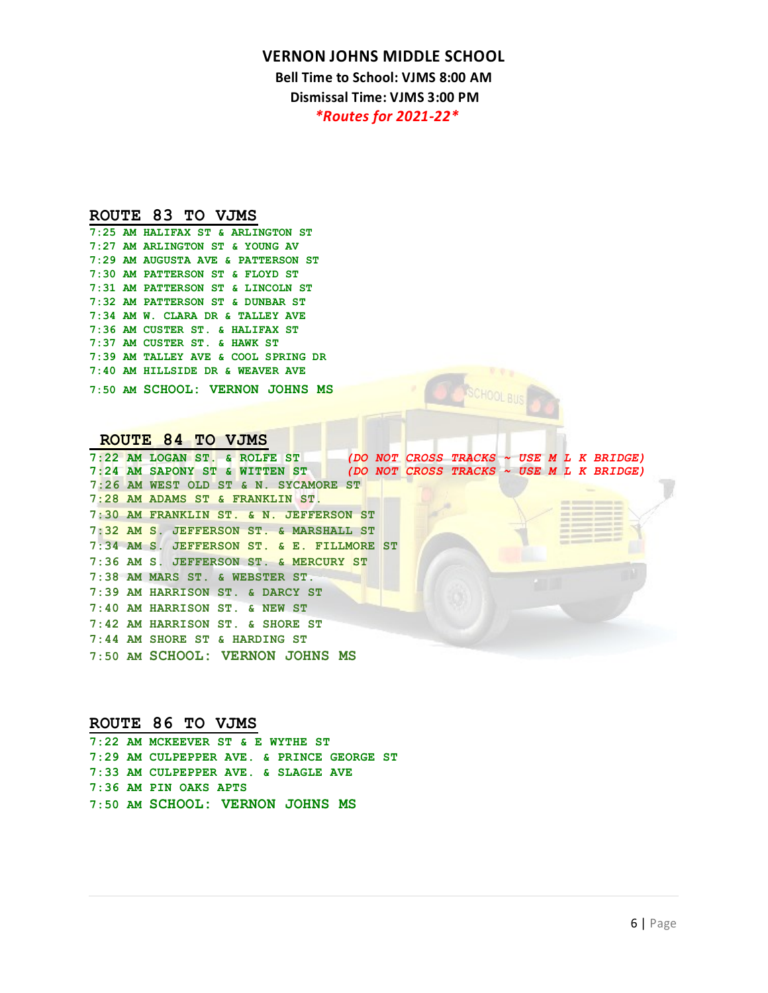**Bell Time to School: VJMS 8:00 AM Dismissal Time: VJMS 3:00 PM** *\*Routes for 2021-22\** 

# **ROUTE 83 TO VJMS 7:25 AM HALIFAX ST & ARLINGTON ST**

**7:27 AM ARLINGTON ST & YOUNG AV 7:29 AM AUGUSTA AVE & PATTERSON ST 7:30 AM PATTERSON ST & FLOYD ST 7:31 AM PATTERSON ST & LINCOLN ST 7:32 AM PATTERSON ST & DUNBAR ST 7:34 AM W. CLARA DR & TALLEY AVE 7:36 AM CUSTER ST. & HALIFAX ST 7:37 AM CUSTER ST. & HAWK ST 7:39 AM TALLEY AVE & COOL SPRING DR 7:40 AM HILLSIDE DR & WEAVER AVE 7:50 AM SCHOOL: VERNON JOHNS MS**

**ROUTE 84 TO VJMS**<br>7:22 AM LOGAN ST. & ROLFE ST **7:22 AM LOGAN ST. & ROLFE ST** *(DO NOT CROSS TRACKS ~ USE M L K BRIDGE)* **7:24 AM SAPONY ST & WITTEN ST** *(DO NOT CROSS TRACKS ~ USE M L K BRIDGE)*  **7:26 AM WEST OLD ST & N. SYCAMORE ST 7:28 AM ADAMS ST & FRANKLIN ST. 7:30 AM FRANKLIN ST. & N. JEFFERSON ST 7:32 AM S. JEFFERSON ST. & MARSHALL ST 7:34 AM S. JEFFERSON ST. & E. FILLMORE ST 7:36 AM S. JEFFERSON ST. & MERCURY ST 7:38 AM MARS ST. & WEBSTER ST. 7:39 AM HARRISON ST. & DARCY ST 7:40 AM HARRISON ST. & NEW ST 7:42 AM HARRISON ST. & SHORE ST 7:44 AM SHORE ST & HARDING ST 7:50 AM SCHOOL: VERNON JOHNS MS** 

**ROUTE 86 TO VJMS 7:22 AM MCKEEVER ST & E WYTHE ST 7:29 AM CULPEPPER AVE. & PRINCE GEORGE ST 7:33 AM CULPEPPER AVE. & SLAGLE AVE 7:36 AM PIN OAKS APTS 7:50 AM SCHOOL: VERNON JOHNS MS**